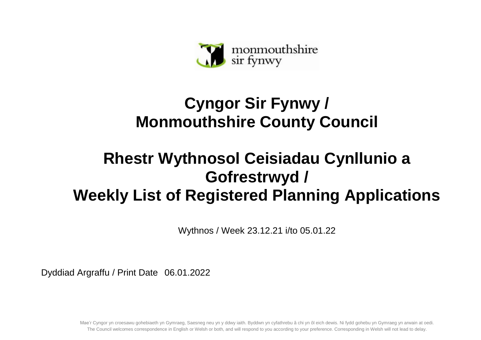

## **Cyngor Sir Fynwy / Monmouthshire County Council**

## **Rhestr Wythnosol Ceisiadau Cynllunio a Gofrestrwyd / Weekly List of Registered Planning Applications**

Wythnos / Week 23.12.21 i/to 05.01.22

Dyddiad Argraffu / Print Date 06.01.2022

Mae'r Cyngor yn croesawu gohebiaeth yn Gymraeg, Saesneg neu yn y ddwy iaith. Byddwn yn cyfathrebu â chi yn ôl eich dewis. Ni fydd gohebu yn Gymraeg yn arwain at oedi. The Council welcomes correspondence in English or Welsh or both, and will respond to you according to your preference. Corresponding in Welsh will not lead to delay.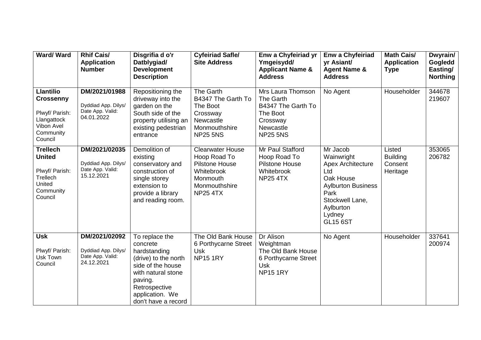| Ward/Ward                                                                                                   | <b>Rhif Cais/</b><br><b>Application</b><br><b>Number</b>               | Disgrifia d o'r<br>Datblygiad/<br><b>Development</b><br><b>Description</b>                                                                                                          | <b>Cyfeiriad Safle/</b><br><b>Site Address</b>                                                                          | Enw a Chyfeiriad yr<br>Ymgeisydd/<br><b>Applicant Name &amp;</b><br><b>Address</b>                           | <b>Enw a Chyfeiriad</b><br>yr Asiant/<br><b>Agent Name &amp;</b><br><b>Address</b>                                                                                       | <b>Math Cais/</b><br><b>Application</b><br><b>Type</b> | Dwyrain/<br>Gogledd<br>Easting/<br><b>Northing</b> |
|-------------------------------------------------------------------------------------------------------------|------------------------------------------------------------------------|-------------------------------------------------------------------------------------------------------------------------------------------------------------------------------------|-------------------------------------------------------------------------------------------------------------------------|--------------------------------------------------------------------------------------------------------------|--------------------------------------------------------------------------------------------------------------------------------------------------------------------------|--------------------------------------------------------|----------------------------------------------------|
| <b>Llantilio</b><br><b>Crossenny</b><br>Plwyf/ Parish:<br>Llangattock<br>Vibon Avel<br>Community<br>Council | DM/2021/01988<br>Dyddiad App. Dilys/<br>Date App. Valid:<br>04.01.2022 | Repositioning the<br>driveway into the<br>garden on the<br>South side of the<br>property utilising an<br>existing pedestrian<br>entrance                                            | The Garth<br>B4347 The Garth To<br>The Boot<br>Crossway<br>Newcastle<br>Monmouthshire<br><b>NP25 5NS</b>                | Mrs Laura Thomson<br>The Garth<br>B4347 The Garth To<br>The Boot<br>Crossway<br>Newcastle<br><b>NP25 5NS</b> | No Agent                                                                                                                                                                 | Householder                                            | 344678<br>219607                                   |
| <b>Trellech</b><br><b>United</b><br>Plwyf/ Parish:<br>Trellech<br>United<br>Community<br>Council            | DM/2021/02035<br>Dyddiad App. Dilys/<br>Date App. Valid:<br>15.12.2021 | Demolition of<br>existing<br>conservatory and<br>construction of<br>single storey<br>extension to<br>provide a library<br>and reading room.                                         | Clearwater House<br>Hoop Road To<br><b>Pilstone House</b><br>Whitebrook<br>Monmouth<br>Monmouthshire<br><b>NP25 4TX</b> | Mr Paul Stafford<br>Hoop Road To<br><b>Pilstone House</b><br>Whitebrook<br><b>NP25 4TX</b>                   | Mr Jacob<br>Wainwright<br><b>Apex Architecture</b><br>Ltd<br>Oak House<br><b>Aylburton Business</b><br>Park<br>Stockwell Lane,<br>Aylburton<br>Lydney<br><b>GL15 6ST</b> | Listed<br><b>Building</b><br>Consent<br>Heritage       | 353065<br>206782                                   |
| <b>Usk</b><br>Plwyf/ Parish:<br>Usk Town<br>Council                                                         | DM/2021/02092<br>Dyddiad App. Dilys/<br>Date App. Valid:<br>24.12.2021 | To replace the<br>concrete<br>hardstanding<br>(drive) to the north<br>side of the house<br>with natural stone<br>paving.<br>Retrospective<br>application. We<br>don't have a record | The Old Bank House<br>6 Porthycarne Street<br><b>Usk</b><br><b>NP15 1RY</b>                                             | Dr Alison<br>Weightman<br>The Old Bank House<br>6 Porthycarne Street<br><b>Usk</b><br><b>NP15 1RY</b>        | No Agent                                                                                                                                                                 | Householder                                            | 337641<br>200974                                   |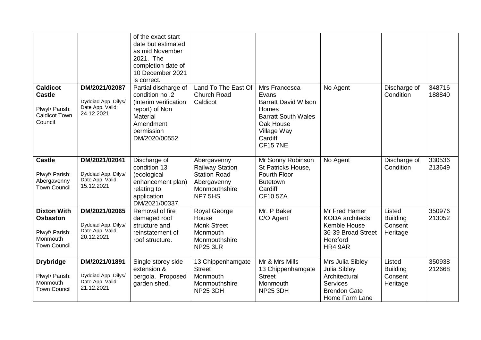|                                                                                            |                                                                        | of the exact start<br>date but estimated<br>as mid November<br>2021. The<br>completion date of<br>10 December 2021<br>is correct.          |                                                                                                         |                                                                                                                                                        |                                                                                                               |                                                  |                  |
|--------------------------------------------------------------------------------------------|------------------------------------------------------------------------|--------------------------------------------------------------------------------------------------------------------------------------------|---------------------------------------------------------------------------------------------------------|--------------------------------------------------------------------------------------------------------------------------------------------------------|---------------------------------------------------------------------------------------------------------------|--------------------------------------------------|------------------|
| <b>Caldicot</b><br><b>Castle</b><br>Plwyf/ Parish:<br><b>Caldicot Town</b><br>Council      | DM/2021/02087<br>Dyddiad App. Dilys/<br>Date App. Valid:<br>24.12.2021 | Partial discharge of<br>condition no .2<br>(interim verification<br>report) of Non<br>Material<br>Amendment<br>permission<br>DM/2020/00552 | Land To The East Of<br><b>Church Road</b><br>Caldicot                                                   | Mrs Francesca<br>Evans<br><b>Barratt David Wilson</b><br>Homes<br><b>Barratt South Wales</b><br>Oak House<br>Village Way<br>Cardiff<br><b>CF15 7NE</b> | No Agent                                                                                                      | Discharge of<br>Condition                        | 348716<br>188840 |
| <b>Castle</b><br>Plwyf/ Parish:<br>Abergavenny<br><b>Town Council</b>                      | DM/2021/02041<br>Dyddiad App. Dilys/<br>Date App. Valid:<br>15.12.2021 | Discharge of<br>condition 13<br>(ecological<br>enhancement plan)<br>relating to<br>application<br>DM/2021/00337.                           | Abergavenny<br><b>Railway Station</b><br><b>Station Road</b><br>Abergavenny<br>Monmouthshire<br>NP7 5HS | Mr Sonny Robinson<br>St Patricks House,<br>Fourth Floor<br><b>Butetown</b><br>Cardiff<br><b>CF10 5ZA</b>                                               | No Agent                                                                                                      | Discharge of<br>Condition                        | 330536<br>213649 |
| <b>Dixton With</b><br><b>Osbaston</b><br>Plwyf/ Parish:<br>Monmouth<br><b>Town Council</b> | DM/2021/02065<br>Dyddiad App. Dilys/<br>Date App. Valid:<br>20.12.2021 | Removal of fire<br>damaged roof<br>structure and<br>reinstatement of<br>roof structure.                                                    | Royal George<br>House<br><b>Monk Street</b><br>Monmouth<br>Monmouthshire<br><b>NP25 3LR</b>             | Mr. P Baker<br>C/O Agent                                                                                                                               | Mr Fred Hamer<br><b>KODA</b> architects<br>Kemble House<br>36-39 Broad Street<br>Hereford<br>HR4 9AR          | Listed<br><b>Building</b><br>Consent<br>Heritage | 350976<br>213052 |
| <b>Drybridge</b><br>Plwyf/ Parish:<br>Monmouth<br><b>Town Council</b>                      | DM/2021/01891<br>Dyddiad App. Dilys/<br>Date App. Valid:<br>21.12.2021 | Single storey side<br>extension &<br>pergola. Proposed<br>garden shed.                                                                     | 13 Chippenhamgate<br><b>Street</b><br>Monmouth<br>Monmouthshire<br><b>NP25 3DH</b>                      | Mr & Mrs Mills<br>13 Chippenhamgate<br><b>Street</b><br>Monmouth<br><b>NP25 3DH</b>                                                                    | Mrs Julia Sibley<br>Julia Sibley<br>Architectural<br><b>Services</b><br><b>Brendon Gate</b><br>Home Farm Lane | Listed<br><b>Building</b><br>Consent<br>Heritage | 350938<br>212668 |